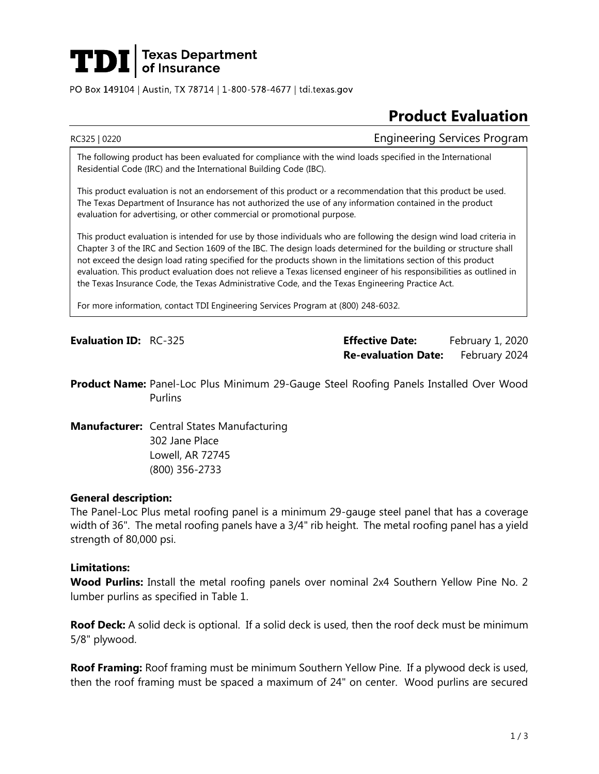# **TDI** Texas Department

PO Box 149104 | Austin, TX 78714 | 1-800-578-4677 | tdi.texas.gov

## **Product Evaluation**

RC325 | 0220 Engineering Services Program

The following product has been evaluated for compliance with the wind loads specified in the International Residential Code (IRC) and the International Building Code (IBC).

This product evaluation is not an endorsement of this product or a recommendation that this product be used. The Texas Department of Insurance has not authorized the use of any information contained in the product evaluation for advertising, or other commercial or promotional purpose.

This product evaluation is intended for use by those individuals who are following the design wind load criteria in Chapter 3 of the IRC and Section 1609 of the IBC. The design loads determined for the building or structure shall not exceed the design load rating specified for the products shown in the limitations section of this product evaluation. This product evaluation does not relieve a Texas licensed engineer of his responsibilities as outlined in the Texas Insurance Code, the Texas Administrative Code, and the Texas Engineering Practice Act.

For more information, contact TDI Engineering Services Program at (800) 248-6032.

**Evaluation ID:** RC-325 **Effective Date:** February 1, 2020 **Re-evaluation Date:** February 2024

**Product Name:** Panel-Loc Plus Minimum 29-Gauge Steel Roofing Panels Installed Over Wood **Purlins** 

**Manufacturer:** Central States Manufacturing 302 Jane Place Lowell, AR 72745 (800) 356-2733

#### **General description:**

The Panel-Loc Plus metal roofing panel is a minimum 29-gauge steel panel that has a coverage width of 36". The metal roofing panels have a 3/4" rib height. The metal roofing panel has a yield strength of 80,000 psi.

#### **Limitations:**

**Wood Purlins:** Install the metal roofing panels over nominal 2x4 Southern Yellow Pine No. 2 lumber purlins as specified in Table 1.

**Roof Deck:** A solid deck is optional. If a solid deck is used, then the roof deck must be minimum 5/8" plywood.

**Roof Framing:** Roof framing must be minimum Southern Yellow Pine. If a plywood deck is used, then the roof framing must be spaced a maximum of 24" on center. Wood purlins are secured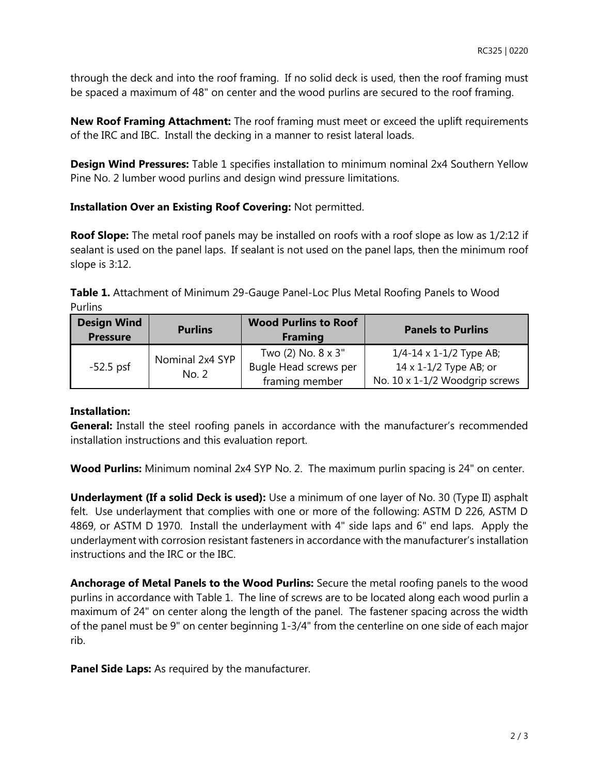through the deck and into the roof framing. If no solid deck is used, then the roof framing must be spaced a maximum of 48" on center and the wood purlins are secured to the roof framing.

**New Roof Framing Attachment:** The roof framing must meet or exceed the uplift requirements of the IRC and IBC. Install the decking in a manner to resist lateral loads.

**Design Wind Pressures:** Table 1 specifies installation to minimum nominal 2x4 Southern Yellow Pine No. 2 lumber wood purlins and design wind pressure limitations.

### **Installation Over an Existing Roof Covering:** Not permitted.

**Roof Slope:** The metal roof panels may be installed on roofs with a roof slope as low as 1/2:12 if sealant is used on the panel laps. If sealant is not used on the panel laps, then the minimum roof slope is 3:12.

**Table 1.** Attachment of Minimum 29-Gauge Panel-Loc Plus Metal Roofing Panels to Wood Purlins

| <b>Design Wind</b><br><b>Pressure</b> | <b>Purlins</b>           | <b>Wood Purlins to Roof</b><br><b>Framing</b>                           | <b>Panels to Purlins</b>                                                                                |
|---------------------------------------|--------------------------|-------------------------------------------------------------------------|---------------------------------------------------------------------------------------------------------|
| $-52.5$ psf                           | Nominal 2x4 SYP<br>No. 2 | Two $(2)$ No. $8 \times 3$ "<br>Bugle Head screws per<br>framing member | $1/4 - 14 \times 1 - 1/2$ Type AB;<br>$14 \times 1 - 1/2$ Type AB; or<br>No. 10 x 1-1/2 Woodgrip screws |

#### **Installation:**

**General:** Install the steel roofing panels in accordance with the manufacturer's recommended installation instructions and this evaluation report.

**Wood Purlins:** Minimum nominal 2x4 SYP No. 2. The maximum purlin spacing is 24" on center.

**Underlayment (If a solid Deck is used):** Use a minimum of one layer of No. 30 (Type II) asphalt felt. Use underlayment that complies with one or more of the following: ASTM D 226, ASTM D 4869, or ASTM D 1970. Install the underlayment with 4" side laps and 6" end laps. Apply the underlayment with corrosion resistant fasteners in accordance with the manufacturer's installation instructions and the IRC or the IBC.

**Anchorage of Metal Panels to the Wood Purlins:** Secure the metal roofing panels to the wood purlins in accordance with Table 1. The line of screws are to be located along each wood purlin a maximum of 24" on center along the length of the panel. The fastener spacing across the width of the panel must be 9" on center beginning 1-3/4" from the centerline on one side of each major rib.

**Panel Side Laps:** As required by the manufacturer.